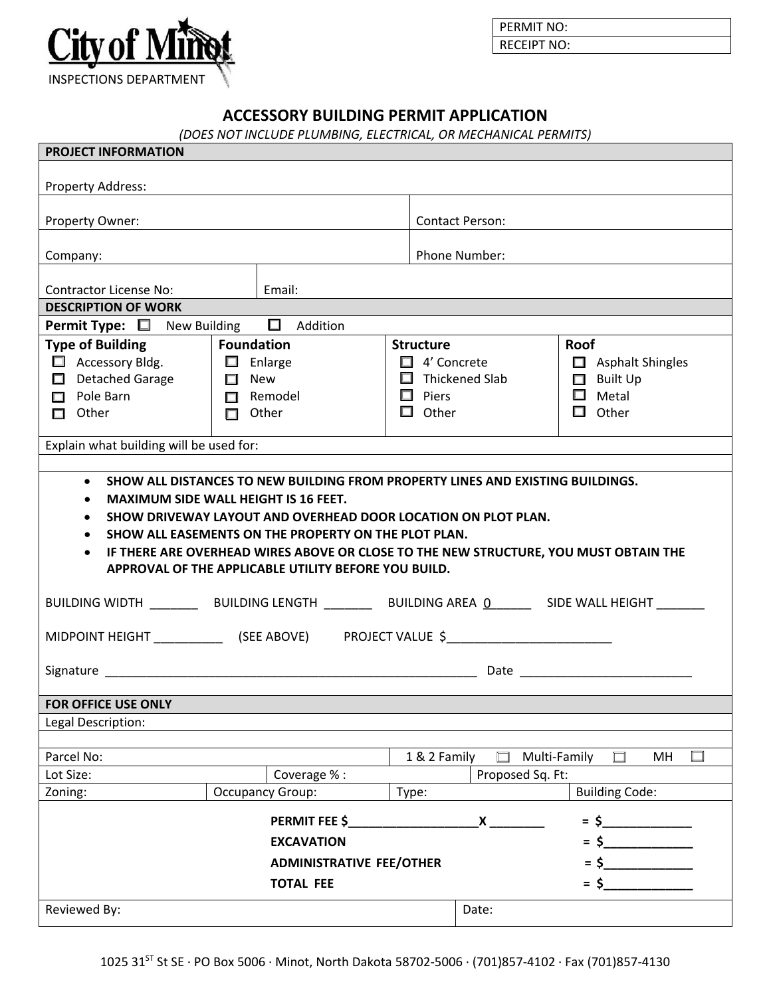

PERMIT NO: RECEIPT NO:

## **ACCESSORY BUILDING PERMIT APPLICATION**

*(DOES NOT INCLUDE PLUMBING, ELECTRICAL, OR MECHANICAL PERMITS)*

| <b>PROJECT INFORMATION</b>                                                                                                                                                                                                                                                                                                                                                                                                                                                                    |                                 |                       |                           |                                 |  |  |  |  |  |  |  |  |  |
|-----------------------------------------------------------------------------------------------------------------------------------------------------------------------------------------------------------------------------------------------------------------------------------------------------------------------------------------------------------------------------------------------------------------------------------------------------------------------------------------------|---------------------------------|-----------------------|---------------------------|---------------------------------|--|--|--|--|--|--|--|--|--|
| Property Address:                                                                                                                                                                                                                                                                                                                                                                                                                                                                             |                                 |                       |                           |                                 |  |  |  |  |  |  |  |  |  |
| Property Owner:                                                                                                                                                                                                                                                                                                                                                                                                                                                                               |                                 |                       | <b>Contact Person:</b>    |                                 |  |  |  |  |  |  |  |  |  |
| Company:                                                                                                                                                                                                                                                                                                                                                                                                                                                                                      |                                 |                       | Phone Number:             |                                 |  |  |  |  |  |  |  |  |  |
| <b>Contractor License No:</b>                                                                                                                                                                                                                                                                                                                                                                                                                                                                 | Email:                          |                       |                           |                                 |  |  |  |  |  |  |  |  |  |
| <b>DESCRIPTION OF WORK</b>                                                                                                                                                                                                                                                                                                                                                                                                                                                                    |                                 |                       |                           |                                 |  |  |  |  |  |  |  |  |  |
| Permit Type: $\square$ New Building $\square$ Addition                                                                                                                                                                                                                                                                                                                                                                                                                                        |                                 |                       |                           |                                 |  |  |  |  |  |  |  |  |  |
| <b>Type of Building</b>                                                                                                                                                                                                                                                                                                                                                                                                                                                                       | Foundation                      | <b>Structure</b>      |                           | Roof                            |  |  |  |  |  |  |  |  |  |
| Accessory Bldg.   I Enlarge                                                                                                                                                                                                                                                                                                                                                                                                                                                                   |                                 | $\Box$ 4' Concrete    |                           | $\Box$ Asphalt Shingles         |  |  |  |  |  |  |  |  |  |
| $\Box$ Detached Garage $\Box$ New                                                                                                                                                                                                                                                                                                                                                                                                                                                             |                                 | $\Box$ Thickened Slab |                           | $\Box$ Built Up                 |  |  |  |  |  |  |  |  |  |
| Pole Barn                                                                                                                                                                                                                                                                                                                                                                                                                                                                                     | $\Box$ Remodel                  | $\Box$ Piers          |                           | $\Box$ Metal                    |  |  |  |  |  |  |  |  |  |
| $\Box$ Other                                                                                                                                                                                                                                                                                                                                                                                                                                                                                  | $\Box$ Other                    | $\Box$ Other          |                           | $\Box$ Other                    |  |  |  |  |  |  |  |  |  |
| Explain what building will be used for:                                                                                                                                                                                                                                                                                                                                                                                                                                                       |                                 |                       |                           |                                 |  |  |  |  |  |  |  |  |  |
|                                                                                                                                                                                                                                                                                                                                                                                                                                                                                               |                                 |                       |                           |                                 |  |  |  |  |  |  |  |  |  |
| SHOW DRIVEWAY LAYOUT AND OVERHEAD DOOR LOCATION ON PLOT PLAN.<br>$\bullet$<br>SHOW ALL EASEMENTS ON THE PROPERTY ON THE PLOT PLAN.<br>$\bullet$<br>IF THERE ARE OVERHEAD WIRES ABOVE OR CLOSE TO THE NEW STRUCTURE, YOU MUST OBTAIN THE<br>APPROVAL OF THE APPLICABLE UTILITY BEFORE YOU BUILD.<br>BUILDING WIDTH ____________BUILDING LENGTH ______________BUILDING AREA _0___________________________<br>MIDPOINT HEIGHT ________________ (SEE ABOVE) PROJECT VALUE \$_____________________ |                                 |                       |                           |                                 |  |  |  |  |  |  |  |  |  |
| FOR OFFICE USE ONLY                                                                                                                                                                                                                                                                                                                                                                                                                                                                           |                                 |                       |                           |                                 |  |  |  |  |  |  |  |  |  |
| Legal Description:                                                                                                                                                                                                                                                                                                                                                                                                                                                                            |                                 |                       |                           |                                 |  |  |  |  |  |  |  |  |  |
|                                                                                                                                                                                                                                                                                                                                                                                                                                                                                               |                                 |                       |                           |                                 |  |  |  |  |  |  |  |  |  |
| Parcel No:                                                                                                                                                                                                                                                                                                                                                                                                                                                                                    |                                 | 1 & 2 Family          |                           | Multi-Family<br>$\square$<br>MH |  |  |  |  |  |  |  |  |  |
| Lot Size:                                                                                                                                                                                                                                                                                                                                                                                                                                                                                     | Coverage % :                    |                       | Proposed Sq. Ft:          |                                 |  |  |  |  |  |  |  |  |  |
| Zoning:                                                                                                                                                                                                                                                                                                                                                                                                                                                                                       | <b>Occupancy Group:</b>         | Type:                 |                           | <b>Building Code:</b>           |  |  |  |  |  |  |  |  |  |
|                                                                                                                                                                                                                                                                                                                                                                                                                                                                                               | PERMIT FEE \$                   |                       | $\boldsymbol{\mathsf{X}}$ | $=$ \$                          |  |  |  |  |  |  |  |  |  |
|                                                                                                                                                                                                                                                                                                                                                                                                                                                                                               | <b>EXCAVATION</b>               |                       |                           | $=$ \$                          |  |  |  |  |  |  |  |  |  |
|                                                                                                                                                                                                                                                                                                                                                                                                                                                                                               | <b>ADMINISTRATIVE FEE/OTHER</b> |                       |                           | $\sim$                          |  |  |  |  |  |  |  |  |  |
|                                                                                                                                                                                                                                                                                                                                                                                                                                                                                               | <b>TOTAL FEE</b>                |                       |                           | $=$ \$                          |  |  |  |  |  |  |  |  |  |
| Reviewed By:                                                                                                                                                                                                                                                                                                                                                                                                                                                                                  |                                 |                       | Date:                     |                                 |  |  |  |  |  |  |  |  |  |